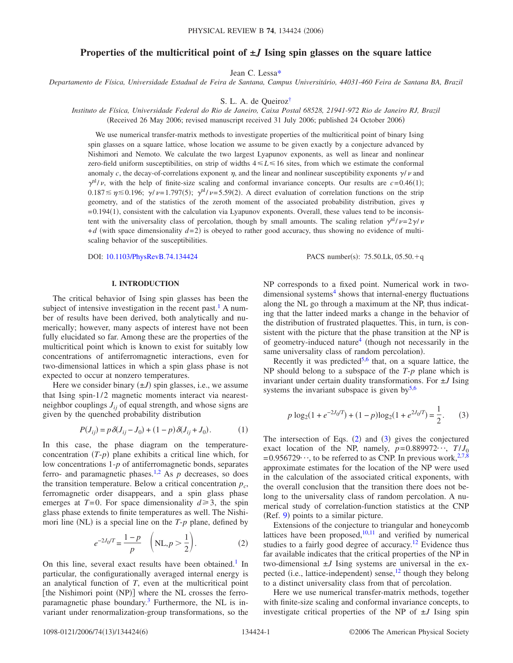# **Properties of the multicritical point of ±***J* **Ising spin glasses on the square lattice**

Jean C. Less[a\\*](#page-5-0)

*Departamento de Física, Universidade Estadual de Feira de Santana, Campus Universitário, 44031-460 Feira de Santana BA, Brazil*

S. L. A. de Queiro[z†](#page-5-1)

*Instituto de Física, Universidade Federal do Rio de Janeiro, Caixa Postal 68528, 21941-972 Rio de Janeiro RJ, Brazil*

(Received 26 May 2006; revised manuscript received 31 July 2006; published 24 October 2006)

We use numerical transfer-matrix methods to investigate properties of the multicritical point of binary Ising spin glasses on a square lattice, whose location we assume to be given exactly by a conjecture advanced by Nishimori and Nemoto. We calculate the two largest Lyapunov exponents, as well as linear and nonlinear zero-field uniform susceptibilities, on strip of widths  $4 \le L \le 16$  sites, from which we estimate the conformal anomaly c, the decay-of-correlations exponent  $\eta$ , and the linear and nonlinear susceptibility exponents  $\gamma/\nu$  and  $\gamma^{nl}/\nu$ , with the help of finite-size scaling and conformal invariance concepts. Our results are  $c = 0.46(1)$ ;  $0.187 \lesssim \eta \lesssim 0.196$ ;  $\gamma/\nu = 1.797(5)$ ;  $\gamma^{nl}/\nu = 5.59(2)$ . A direct evaluation of correlation functions on the strip geometry, and of the statistics of the zeroth moment of the associated probability distribution, gives  $\eta$ =0.194(1), consistent with the calculation via Lyapunov exponents. Overall, these values tend to be inconsistent with the universality class of percolation, though by small amounts. The scaling relation  $\gamma^{nl}/\nu=2\gamma/\nu$  $+d$  (with space dimensionality  $d=2$ ) is obeyed to rather good accuracy, thus showing no evidence of multiscaling behavior of the susceptibilities.

DOI: [10.1103/PhysRevB.74.134424](http://dx.doi.org/10.1103/PhysRevB.74.134424)

PACS number(s):  $75.50$ .Lk,  $05.50 + q$ 

## **I. INTRODUCTION**

The critical behavior of Ising spin glasses has been the subject of intensive investigation in the recent past.<sup>1</sup> A number of results have been derived, both analytically and numerically; however, many aspects of interest have not been fully elucidated so far. Among these are the properties of the multicritical point which is known to exist for suitably low concentrations of antiferromagnetic interactions, even for two-dimensional lattices in which a spin glass phase is not expected to occur at nonzero temperatures.

Here we consider binary  $(\pm J)$  spin glasses, i.e., we assume that Ising spin-1/2 magnetic moments interact via nearestneighbor couplings  $J_{ij}$  of equal strength, and whose signs are given by the quenched probability distribution

$$
P(J_{ij}) = p \,\delta(J_{ij} - J_0) + (1 - p) \,\delta(J_{ij} + J_0). \tag{1}
$$

<span id="page-0-2"></span>In this case, the phase diagram on the temperatureconcentration  $(T-p)$  plane exhibits a critical line which, for low concentrations 1-*p* of antiferromagnetic bonds, separates ferro- and paramagnetic phases.<sup>1,[2](#page-5-3)</sup> As  $p$  decreases, so does the transition temperature. Below a critical concentration  $p_c$ , ferromagnetic order disappears, and a spin glass phase emerges at  $T=0$ . For space dimensionality  $d \ge 3$ , the spin glass phase extends to finite temperatures as well. The Nishimori line (NL) is a special line on the  $T$ - $p$  plane, defined by

$$
e^{-2J_0/T} = \frac{1-p}{p} \left( NL, p > \frac{1}{2} \right).
$$
 (2)

<span id="page-0-0"></span>On this line, several exact results have been obtained.<sup>1</sup> In particular, the configurationally averaged internal energy is an analytical function of *T*, even at the multicritical point [the Nishimori point (NP)] where the NL crosses the ferroparamagnetic phase boundary[.3](#page-5-4) Furthermore, the NL is invariant under renormalization-group transformations, so the NP corresponds to a fixed point. Numerical work in two $dimensional$  systems<sup>4</sup> shows that internal-energy fluctuations along the NL go through a maximum at the NP, thus indicating that the latter indeed marks a change in the behavior of the distribution of frustrated plaquettes. This, in turn, is consistent with the picture that the phase transition at the NP is of geometry-induced nature<sup>4</sup> (though not necessarily in the same universality class of random percolation).

Recently it was predicted<sup>5,[6](#page-5-7)</sup> that, on a square lattice, the NP should belong to a subspace of the *T*-*p* plane which is invariant under certain duality transformations. For ±*J* Ising systems the invariant subspace is given  $by<sup>5,6</sup>$  $by<sup>5,6</sup>$  $by<sup>5,6</sup>$ 

<span id="page-0-1"></span>
$$
p \log_2(1 + e^{-2J_0/T}) + (1 - p)\log_2(1 + e^{2J_0/T}) = \frac{1}{2}.
$$
 (3)

The intersection of Eqs.  $(2)$  $(2)$  $(2)$  and  $(3)$  $(3)$  $(3)$  gives the conjectured exact location of the NP, namely,  $p=0.889972\cdots$ ,  $T/J_0$  $=0.956729\cdot\cdot\cdot$ , to be referred to as CNP. In previous work,<sup>2[,7](#page-5-8)[,8](#page-5-9)</sup> approximate estimates for the location of the NP were used in the calculation of the associated critical exponents, with the overall conclusion that the transition there does not belong to the universality class of random percolation. A numerical study of correlation-function statistics at the CNP (Ref. [9](#page-5-10)) points to a similar picture.

Extensions of the conjecture to triangular and honeycomb lattices have been proposed, $10,11$  $10,11$  and verified by numerical studies to a fairly good degree of accuracy.<sup>12</sup> Evidence thus far available indicates that the critical properties of the NP in two-dimensional  $\pm J$  Ising systems are universal in the expected (i.e., lattice-independent) sense,<sup>12</sup> though they belong to a distinct universality class from that of percolation.

Here we use numerical transfer-matrix methods, together with finite-size scaling and conformal invariance concepts, to investigate critical properties of the NP of ±*J* Ising spin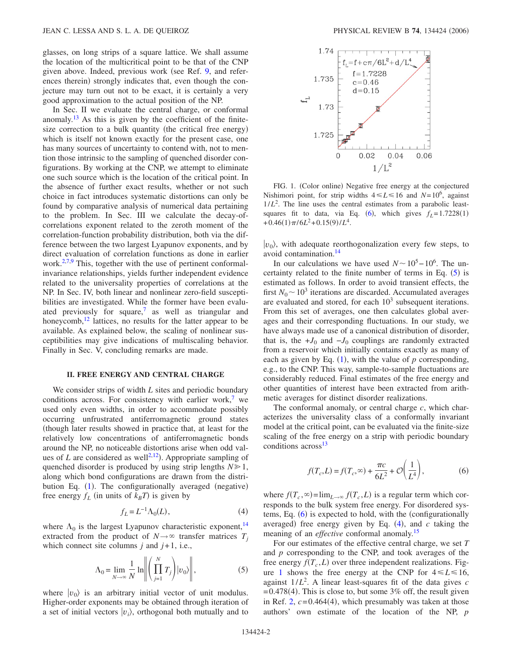glasses, on long strips of a square lattice. We shall assume the location of the multicritical point to be that of the CNP given above. Indeed, previous work (see Ref. [9,](#page-5-10) and references therein) strongly indicates that, even though the conjecture may turn out not to be exact, it is certainly a very good approximation to the actual position of the NP.

In Sec. II we evaluate the central charge, or conformal anomaly.<sup>13</sup> As this is given by the coefficient of the finitesize correction to a bulk quantity (the critical free energy) which is itself not known exactly for the present case, one has many sources of uncertainty to contend with, not to mention those intrinsic to the sampling of quenched disorder configurations. By working at the CNP, we attempt to eliminate one such source which is the location of the critical point. In the absence of further exact results, whether or not such choice in fact introduces systematic distortions can only be found by comparative analysis of numerical data pertaining to the problem. In Sec. III we calculate the decay-ofcorrelations exponent related to the zeroth moment of the correlation-function probability distribution, both via the difference between the two largest Lyapunov exponents, and by direct evaluation of correlation functions as done in earlier work. $2,7,9$  $2,7,9$  $2,7,9$  This, together with the use of pertinent conformalinvariance relationships, yields further independent evidence related to the universality properties of correlations at the NP. In Sec. IV, both linear and nonlinear zero-field susceptibilities are investigated. While the former have been evaluated previously for square,<sup>7</sup> as well as triangular and honeycomb, $12$  lattices, no results for the latter appear to be available. As explained below, the scaling of nonlinear susceptibilities may give indications of multiscaling behavior. Finally in Sec. V, concluding remarks are made.

#### **II. FREE ENERGY AND CENTRAL CHARGE**

We consider strips of width *L* sites and periodic boundary conditions across. For consistency with earlier work,<sup>7</sup> we used only even widths, in order to accommodate possibly occurring unfrustrated antiferromagnetic ground states though later results showed in practice that, at least for the relatively low concentrations of antiferromagnetic bonds around the NP, no noticeable distortions arise when odd values of *L* are considered as well<sup>2,[12](#page-5-13)</sup>). Appropriate sampling of quenched disorder is produced by using strip lengths *N* 1, along which bond configurations are drawn from the distri-bution Eq. ([1](#page-0-2)). The configurationally averaged (negative) free energy  $f_L$  (in units of  $k_B T$ ) is given by

$$
f_L = L^{-1} \Lambda_0(L), \tag{4}
$$

<span id="page-1-2"></span><span id="page-1-0"></span>where  $\Lambda_0$  is the largest Lyapunov characteristic exponent,<sup>14</sup> extracted from the product of  $N \rightarrow \infty$  transfer matrices  $T_i$ which connect site columns *j* and *j*+1, i.e.,

$$
\Lambda_0 = \lim_{N \to \infty} \frac{1}{N} \ln \left\| \left( \prod_{j=1}^N T_j \right) |v_0\rangle \right\|, \tag{5}
$$

where  $|v_0\rangle$  is an arbitrary initial vector of unit modulus. Higher-order exponents may be obtained through iteration of a set of initial vectors  $|v_i\rangle$ , orthogonal both mutually and to

<span id="page-1-3"></span>

FIG. 1. (Color online) Negative free energy at the conjectured Nishimori point, for strip widths  $4 \le L \le 16$  and  $N=10^6$ , against  $1/L<sup>2</sup>$ . The line uses the central estimates from a parabolic leastsquares fit to data, via Eq.  $(6)$  $(6)$  $(6)$ , which gives  $f_L = 1.7228(1)$  $+0.46(1)\pi/6L^2+0.15(9)/L^4$ .

 $|v_0\rangle$ , with adequate reorthogonalization every few steps, to avoid contamination[.14](#page-5-15)

In our calculations we have used  $N \sim 10^5 - 10^6$ . The uncertainty related to the finite number of terms in Eq.  $(5)$  $(5)$  $(5)$  is estimated as follows. In order to avoid transient effects, the first  $N_0 \sim 10^3$  iterations are discarded. Accumulated averages are evaluated and stored, for each  $10<sup>3</sup>$  subsequent iterations. From this set of averages, one then calculates global averages and their corresponding fluctuations. In our study, we have always made use of a canonical distribution of disorder, that is, the  $+J_0$  and  $-J_0$  couplings are randomly extracted from a reservoir which initially contains exactly as many of each as given by Eq.  $(1)$  $(1)$  $(1)$ , with the value of  $p$  corresponding, e.g., to the CNP. This way, sample-to-sample fluctuations are considerably reduced. Final estimates of the free energy and other quantities of interest have been extracted from arithmetic averages for distinct disorder realizations.

The conformal anomaly, or central charge *c*, which characterizes the universality class of a conformally invariant model at the critical point, can be evaluated via the finite-size scaling of the free energy on a strip with periodic boundary conditions across<sup>13</sup>

$$
f(T_c, L) = f(T_c, \infty) + \frac{\pi c}{6L^2} + \mathcal{O}\left(\frac{1}{L^4}\right),\tag{6}
$$

<span id="page-1-1"></span>where  $f(T_c, \infty) = \lim_{L \to \infty} f(T_c, L)$  is a regular term which corresponds to the bulk system free energy. For disordered sys-tems, Eq. ([6](#page-1-1)) is expected to hold, with the (configurationally averaged) free energy given by Eq.  $(4)$  $(4)$  $(4)$ , and  $c$  taking the meaning of an *effective* conformal anomaly[.15](#page-5-16)

For our estimates of the effective central charge, we set *T* and *p* corresponding to the CNP, and took averages of the free energy  $f(T_c, L)$  over three independent realizations. Fig-ure [1](#page-1-3) shows the free energy at the CNP for  $4 \le L \le 16$ , against 1/*L*<sup>2</sup> . A linear least-squares fit of the data gives *c*  $=0.478(4)$ . This is close to, but some 3% off, the result given in Ref.  $2, c = 0.464(4)$  $2, c = 0.464(4)$ , which presumably was taken at those authors' own estimate of the location of the NP, *p*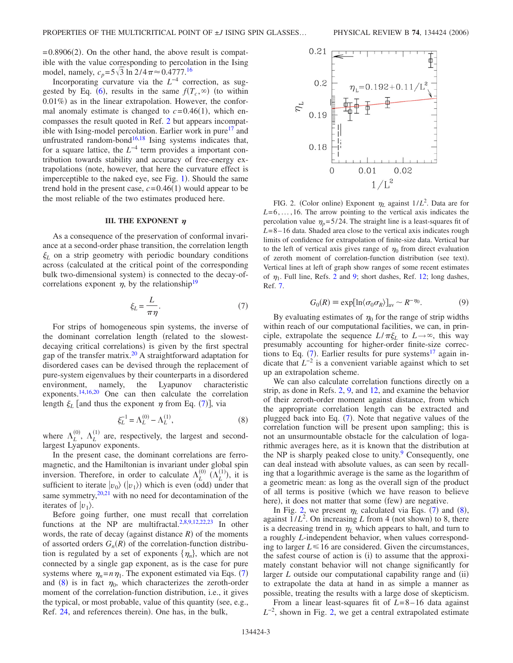$=0.8906(2)$ . On the other hand, the above result is compatible with the value corresponding to percolation in the Ising model, namely,  $c_p = 5\sqrt{3} \ln 2/4\pi \approx 0.4777$ .<sup>16</sup>

Incorporating curvature via the *L*−4 correction, as sug-gested by Eq. ([6](#page-1-1)), results in the same  $f(T_c, \infty)$  (to within 0.01%) as in the linear extrapolation. However, the conformal anomaly estimate is changed to  $c = 0.46(1)$ , which encompasses the result quoted in Ref. [2](#page-5-3) but appears incompatible with Ising-model percolation. Earlier work in pure $17$  and unfrustrated random-bond<sup>16[,18](#page-5-19)</sup> Ising systems indicates that, for a square lattice, the *L*−4 term provides a important contribution towards stability and accuracy of free-energy extrapolations (note, however, that here the curvature effect is imperceptible to the naked eye, see Fig. [1](#page-1-3)). Should the same trend hold in the present case,  $c = 0.46(1)$  would appear to be the most reliable of the two estimates produced here.

## **III. THE EXPONENT**  $\eta$

As a consequence of the preservation of conformal invariance at a second-order phase transition, the correlation length  $\xi_L$  on a strip geometry with periodic boundary conditions across calculated at the critical point of the corresponding bulk two-dimensional system) is connected to the decay-ofcorrelations exponent  $\eta$ , by the relationship<sup>19</sup>

$$
\xi_L = \frac{L}{\pi \eta}.\tag{7}
$$

<span id="page-2-0"></span>For strips of homogeneous spin systems, the inverse of the dominant correlation length (related to the slowestdecaying critical correlations) is given by the first spectral gap of the transfer matrix.<sup>20</sup> A straightforward adaptation for disordered cases can be devised through the replacement of pure-system eigenvalues by their counterparts in a disordered environment, namely, the Lyapunov characteristic exponents.<sup>14,[16](#page-5-17)[,20](#page-5-21)</sup> One can then calculate the correlation length  $\xi_L$  [and thus the exponent  $\eta$  from Eq. ([7](#page-2-0))], via

$$
\xi_L^{-1} = \Lambda_L^{(0)} - \Lambda_L^{(1)},\tag{8}
$$

<span id="page-2-1"></span>where  $\Lambda_L^{(0)}$ ,  $\Lambda_L^{(1)}$  are, respectively, the largest and secondlargest Lyapunov exponents.

In the present case, the dominant correlations are ferromagnetic, and the Hamiltonian is invariant under global spin inversion. Therefore, in order to calculate  $\Lambda_L^{(0)}$   $(\Lambda_L^{(1)})$ , it is sufficient to iterate  $|v_0\rangle$  ( $|v_1\rangle$ ) which is even (odd) under that same symmetry, $20,21$  $20,21$  with no need for decontamination of the iterates of  $|v_1\rangle$ .

Before going further, one must recall that correlation functions at the NP are multifractal.<sup>2,[8,](#page-5-9)[9](#page-5-10)[,12,](#page-5-13)[22](#page-5-23)[,23](#page-5-24)</sup> In other words, the rate of decay (against distance  $R$ ) of the moments of assorted orders  $G_n(R)$  of the correlation-function distribution is regulated by a set of exponents  $\{\eta_n\}$ , which are not connected by a single gap exponent, as is the case for pure systems where  $\eta_n = n \eta_1$ . The exponent estimated via Eqs. ([7](#page-2-0)) and ([8](#page-2-1)) is in fact  $\eta_0$ , which characterizes the zeroth-order moment of the correlation-function distribution, i.e., it gives the typical, or most probable, value of this quantity (see, e.g., Ref. [24,](#page-5-25) and references therein). One has, in the bulk,

<span id="page-2-2"></span>

FIG. 2. (Color online) Exponent  $\eta_L$  against  $1/L^2$ . Data are for  $L=6, \ldots, 16$ . The arrow pointing to the vertical axis indicates the percolation value  $\eta_p = 5/24$ . The straight line is a least-squares fit of *L*=8–16 data. Shaded area close to the vertical axis indicates rough limits of confidence for extrapolation of finite-size data. Vertical bar to the left of vertical axis gives range of  $\eta_0$  from direct evaluation of zeroth moment of correlation-function distribution (see text). Vertical lines at left of graph show ranges of some recent estimates of  $\eta_1$ . Full line, Refs. [2](#page-5-3) and [9;](#page-5-10) short dashes, Ref. [12;](#page-5-13) long dashes, Ref. [7.](#page-5-8)

$$
G_0(R) \equiv \exp[\ln(\sigma_0 \sigma_R)]_{\text{av}} \sim R^{-\eta_0}.
$$
 (9)

By evaluating estimates of  $\eta_0$  for the range of strip widths within reach of our computational facilities, we can, in principle, extrapolate the sequence  $L/\pi \xi_L$  to  $L \rightarrow \infty$ , this way presumably accounting for higher-order finite-size corrections to Eq.  $(7)$  $(7)$  $(7)$ . Earlier results for pure systems<sup>17</sup> again indicate that *L*−2 is a convenient variable against which to set up an extrapolation scheme.

We can also calculate correlation functions directly on a strip, as done in Refs. [2,](#page-5-3) [9,](#page-5-10) and [12,](#page-5-13) and examine the behavior of their zeroth-order moment against distance, from which the appropriate correlation length can be extracted and plugged back into Eq.  $(7)$  $(7)$  $(7)$ . Note that negative values of the correlation function will be present upon sampling; this is not an unsurmountable obstacle for the calculation of logarithmic averages here, as it is known that the distribution at the NP is sharply peaked close to unity.<sup>9</sup> Consequently, one can deal instead with absolute values, as can seen by recalling that a logarithmic average is the same as the logarithm of a geometric mean: as long as the overall sign of the product of all terms is positive (which we have reason to believe here), it does not matter that some (few) are negative.

In Fig. [2,](#page-2-2) we present  $\eta_L$  calculated via Eqs. ([7](#page-2-0)) and ([8](#page-2-1)), against  $1/L^2$ . On increasing *L* from 4 (not shown) to 8, there is a decreasing trend in  $\eta_L$  which appears to halt, and turn to a roughly *L*-independent behavior, when values corresponding to larger  $L \le 16$  are considered. Given the circumstances, the safest course of action is (i) to assume that the approximately constant behavior will not change significantly for larger  $L$  outside our computational capability range and  $(ii)$ to extrapolate the data at hand in as simple a manner as possible, treating the results with a large dose of skepticism.

From a linear least-squares fit of *L*=8–16 data against *L*<sup>−2</sup>, shown in Fig. [2,](#page-2-2) we get a central extrapolated estimate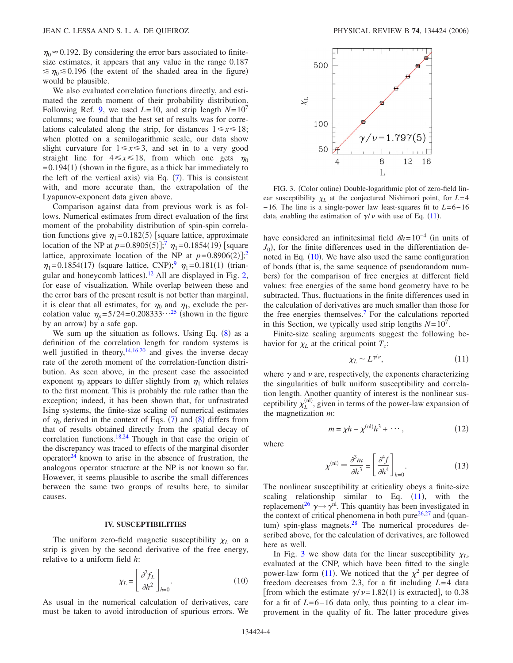$\eta_0 \approx 0.192$ . By considering the error bars associated to finitesize estimates, it appears that any value in the range 0.187  $\leq \eta_0 \leq 0.196$  (the extent of the shaded area in the figure) would be plausible.

We also evaluated correlation functions directly, and estimated the zeroth moment of their probability distribution. Following Ref. [9,](#page-5-10) we used  $L=10$ , and strip length  $N=10<sup>7</sup>$ columns; we found that the best set of results was for correlations calculated along the strip, for distances  $1 \leq x \leq 18$ ; when plotted on a semilogarithmic scale, our data show slight curvature for  $1 \le x \le 3$ , and set in to a very good straight line for  $4 \le x \le 18$ , from which one gets  $\eta_0$  $=0.194(1)$  (shown in the figure, as a thick bar immediately to the left of the vertical axis) via Eq.  $(7)$  $(7)$  $(7)$ . This is consistent with, and more accurate than, the extrapolation of the Lyapunov-exponent data given above.

Comparison against data from previous work is as follows. Numerical estimates from direct evaluation of the first moment of the probability distribution of spin-spin correlation functions give  $\eta_1 = 0.182(5)$  [square lattice, approximate location of the NP at  $p=0.8905(5)$ ;<sup>[7](#page-5-8)</sup>  $\eta_1 = 0.1854(19)$  [square lattice, approximate location of the NP at  $p=0.8906(2)$  $p=0.8906(2)$  $p=0.8906(2)$ ;<sup>2</sup>  $\eta_1 = 0.1854(17)$  (square lattice, CNP);  $\eta_1 = 0.181(1)$  (trian-gular and honeycomb lattices).<sup>[12](#page-5-13)</sup> All are displayed in Fig. [2,](#page-2-2) for ease of visualization. While overlap between these and the error bars of the present result is not better than marginal, it is clear that all estimates, for  $\eta_0$  and  $\eta_1$ , exclude the percolation value  $\eta_p = 5/24 = 0.208333 \cdot \cdot \cdot^{25}$  $\eta_p = 5/24 = 0.208333 \cdot \cdot \cdot^{25}$  $\eta_p = 5/24 = 0.208333 \cdot \cdot \cdot^{25}$  (shown in the figure by an arrow) by a safe gap.

We sum up the situation as follows. Using Eq.  $(8)$  $(8)$  $(8)$  as a definition of the correlation length for random systems is well justified in theory,  $14,16,20$  $14,16,20$  $14,16,20$  and gives the inverse decay rate of the zeroth moment of the correlation-function distribution. As seen above, in the present case the associated exponent  $\eta_0$  appears to differ slightly from  $\eta_1$  which relates to the first moment. This is probably the rule rather than the exception; indeed, it has been shown that, for unfrustrated Ising systems, the finite-size scaling of numerical estimates of  $\eta_0$  derived in the context of Eqs. ([7](#page-2-0)) and ([8](#page-2-1)) differs from that of results obtained directly from the spatial decay of correlation functions.<sup>18,[24](#page-5-25)</sup> Though in that case the origin of the discrepancy was traced to effects of the marginal disorder operator $^{24}$  known to arise in the absence of frustration, the analogous operator structure at the NP is not known so far. However, it seems plausible to ascribe the small differences between the same two groups of results here, to similar causes.

#### **IV. SUSCEPTIBILITIES**

The uniform zero-field magnetic susceptibility  $\chi_L$  on a strip is given by the second derivative of the free energy, relative to a uniform field *h*:

$$
\chi_L = \left[\frac{\partial^2 f_L}{\partial h^2}\right]_{h=0}.\tag{10}
$$

<span id="page-3-0"></span>As usual in the numerical calculation of derivatives, care must be taken to avoid introduction of spurious errors. We

<span id="page-3-2"></span>

FIG. 3. (Color online) Double-logarithmic plot of zero-field linear susceptibility  $\chi_L$  at the conjectured Nishimori point, for  $L=4$ −16. The line is a single-power law least-squares fit to *L*=6−16 data, enabling the estimation of  $\gamma/\nu$  with use of Eq. ([11](#page-3-1)).

have considered an infinitesimal field  $\delta h=10^{-4}$  (in units of  $J_0$ ), for the finite differences used in the differentiation de-noted in Eq. ([10](#page-3-0)). We have also used the same configuration of bonds (that is, the same sequence of pseudorandom numbers) for the comparison of free energies at different field values: free energies of the same bond geometry have to be subtracted. Thus, fluctuations in the finite differences used in the calculation of derivatives are much smaller than those for the free energies themselves.<sup>7</sup> For the calculations reported in this Section, we typically used strip lengths  $N=10^7$ .

Finite-size scaling arguments suggest the following behavior for  $\chi_L$  at the critical point  $T_c$ :

$$
\chi_L \sim L^{\gamma/\nu},\tag{11}
$$

<span id="page-3-1"></span>where  $\gamma$  and  $\nu$  are, respectively, the exponents characterizing the singularities of bulk uniform susceptibility and correlation length. Another quantity of interest is the nonlinear susceptibility  $\chi_L^{(nl)}$ , given in terms of the power-law expansion of the magnetization *m*:

$$
m = \chi h - \chi^{(\text{nl})} h^3 + \cdots, \qquad (12)
$$

where

$$
\chi^{(\text{nl})} \equiv \frac{\partial^3 m}{\partial h^3} = \left[\frac{\partial^4 f}{\partial h^4}\right]_{h=0}.
$$
 (13)

The nonlinear susceptibility at criticality obeys a finite-size scaling relationship similar to Eq.  $(11)$  $(11)$  $(11)$ , with the replacement<sup>26</sup>  $\gamma \rightarrow \gamma$ <sup>nl</sup>. This quantity has been investigated in the context of critical phenomena in both pure $26,27$  $26,27$  and (quantum) spin-glass magnets.<sup>28</sup> The numerical procedures described above, for the calculation of derivatives, are followed here as well.

In Fig. [3](#page-3-2) we show data for the linear susceptibility  $\chi_L$ , evaluated at the CNP, which have been fitted to the single power-law form ([11](#page-3-1)). We noticed that the  $\chi^2$  per degree of freedom decreases from 2.3, for a fit including *L*=4 data [from which the estimate  $\gamma/\nu = 1.82(1)$  is extracted], to 0.38 for a fit of  $L=6-16$  data only, thus pointing to a clear improvement in the quality of fit. The latter procedure gives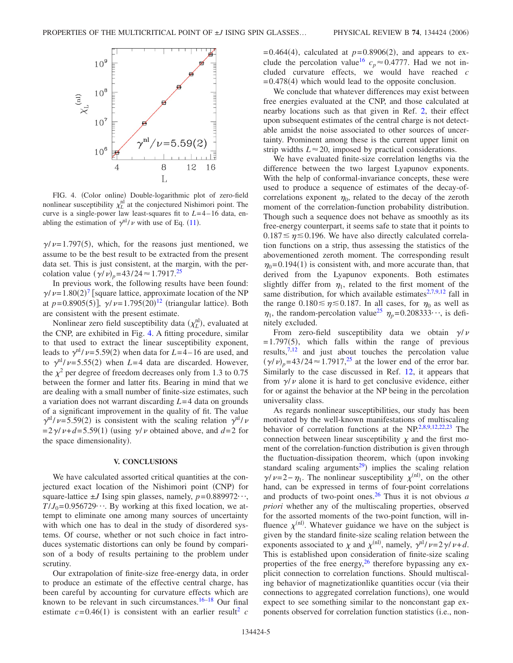<span id="page-4-0"></span>

FIG. 4. (Color online) Double-logarithmic plot of zero-field nonlinear susceptibility  $\chi_L^{\text{nl}}$  at the conjectured Nishimori point. The curve is a single-power law least-squares fit to  $L=4-16$  data, enabling the estimation of  $\gamma^{nl}/\nu$  with use of Eq. ([11](#page-3-1)).

 $\gamma/\nu$ =1.797(5), which, for the reasons just mentioned, we assume to be the best result to be extracted from the present data set. This is just consistent, at the margin, with the percolation value  $(\gamma/\nu)_p = 43/24 \approx 1.7917^{25}$ 

In previous work, the following results have been found:  $\gamma/\nu$  = 1.80(2)<sup>[7](#page-5-8)</sup> [square lattice, approximate location of the NP at  $p=0.8905(5)$ ],  $\gamma/\nu=1.795(20)^{12}$  $\gamma/\nu=1.795(20)^{12}$  $\gamma/\nu=1.795(20)^{12}$  (triangular lattice). Both are consistent with the present estimate.

Nonlinear zero field susceptibility data  $(\chi_L^{\text{nl}})$ , evaluated at the CNP, are exhibited in Fig. [4.](#page-4-0) A fitting procedure, similar to that used to extract the linear susceptibility exponent, leads to  $\gamma$ <sup>n</sup>/ $\nu$ =5.59(2) when data for *L*=4–16 are used, and to  $\gamma$ <sup>nl</sup>/ $\nu$ =5.55(2) when *L*=4 data are discarded. However, the  $\chi^2$  per degree of freedom decreases only from 1.3 to 0.75 between the former and latter fits. Bearing in mind that we are dealing with a small number of finite-size estimates, such a variation does not warrant discarding *L*=4 data on grounds of a significant improvement in the quality of fit. The value  $\gamma$ <sup>nl</sup>/ $\nu$ =5.59(2) is consistent with the scaling relation  $\gamma$ <sup>n</sup>l/ $\nu$  $=2\gamma/\nu+d=5.59(1)$  (using  $\gamma/\nu$  obtained above, and *d*=2 for the space dimensionality).

#### **V. CONCLUSIONS**

We have calculated assorted critical quantities at the conjectured exact location of the Nishimori point (CNP) for square-lattice  $\pm J$  Ising spin glasses, namely,  $p=0.889972\cdots$ ,  $T/J_0$ =0.956729 $\cdots$ . By working at this fixed location, we attempt to eliminate one among many sources of uncertainty with which one has to deal in the study of disordered systems. Of course, whether or not such choice in fact introduces systematic distortions can only be found by comparison of a body of results pertaining to the problem under scrutiny.

Our extrapolation of finite-size free-energy data, in order to produce an estimate of the effective central charge, has been careful by accounting for curvature effects which are known to be relevant in such circumstances. $16-18$  Our final estimate  $c = 0.46(1)$  is consistent with an earlier result<sup>2</sup> *c* 

 $= 0.464(4)$ , calculated at  $p=0.8906(2)$ , and appears to exclude the percolation value<sup>16</sup>  $c_p \approx 0.4777$ . Had we not included curvature effects, we would have reached *c*  $=0.478(4)$  which would lead to the opposite conclusion.

We conclude that whatever differences may exist between free energies evaluated at the CNP, and those calculated at nearby locations such as that given in Ref. [2,](#page-5-3) their effect upon subsequent estimates of the central charge is not detectable amidst the noise associated to other sources of uncertainty. Prominent among these is the current upper limit on strip widths  $L \approx 20$ , imposed by practical considerations.

We have evaluated finite-size correlation lengths via the difference between the two largest Lyapunov exponents. With the help of conformal-invariance concepts, these were used to produce a sequence of estimates of the decay-ofcorrelations exponent  $\eta_0$ , related to the decay of the zeroth moment of the correlation-function probability distribution. Though such a sequence does not behave as smoothly as its free-energy counterpart, it seems safe to state that it points to  $0.187 \le \eta \le 0.196$ . We have also directly calculated correlation functions on a strip, thus assessing the statistics of the abovementioned zeroth moment. The corresponding result  $\eta_0$ =0.194(1) is consistent with, and more accurate than, that derived from the Lyapunov exponents. Both estimates slightly differ from  $\eta_1$ , related to the first moment of the same distribution, for which available estimates $2,7,9,12$  $2,7,9,12$  $2,7,9,12$  $2,7,9,12$  fall in the range  $0.180 \le \eta \le 0.187$ . In all cases, for  $\eta_0$  as well as  $\eta_1$ , the random-percolation value<sup>25</sup>  $\eta_p$ =0.208333···, is definitely excluded.

From zero-field susceptibility data we obtain  $\gamma/\nu$  $=$  1.797(5), which falls within the range of previous results, $7,12$  $7,12$  and just about touches the percolation value  $(\gamma/\nu)_p = 43/24 \approx 1.7917^{25}$  at the lower end of the error bar. Similarly to the case discussed in Ref. [12,](#page-5-13) it appears that from  $\gamma/\nu$  alone it is hard to get conclusive evidence, either for or against the behavior at the NP being in the percolation universality class.

As regards nonlinear susceptibilities, our study has been motivated by the well-known manifestations of multiscaling behavior of correlation functions at the  $NP<sup>2,8,9,12,22,23</sup>$  $NP<sup>2,8,9,12,22,23</sup>$  $NP<sup>2,8,9,12,22,23</sup>$  $NP<sup>2,8,9,12,22,23</sup>$  $NP<sup>2,8,9,12,22,23</sup>$  $NP<sup>2,8,9,12,22,23</sup>$  $NP<sup>2,8,9,12,22,23</sup>$  The connection between linear susceptibility  $\chi$  and the first moment of the correlation-function distribution is given through the fluctuation-dissipation theorem, which (upon invoking standard scaling arguments<sup>29</sup>) implies the scaling relation  $\gamma/\nu = 2 - \eta_1$ . The nonlinear susceptibility  $\chi^{(nl)}$ , on the other hand, can be expressed in terms of four-point correlations and products of two-point ones.<sup>26</sup> Thus it is not obvious  $a$ *priori* whether any of the multiscaling properties, observed for the assorted moments of the two-point function, will influence  $\chi^{(nl)}$ . Whatever guidance we have on the subject is given by the standard finite-size scaling relation between the exponents associated to  $\chi$  and  $\chi^{\text{(nl)}}$ , namely,  $\gamma^{\text{nl}}/\nu = 2\gamma/\nu + d$ . This is established upon consideration of finite-size scaling properties of the free energy,  $^{26}$  therefore bypassing any explicit connection to correlation functions. Should multiscaling behavior of magnetizationlike quantities occur (via their connections to aggregated correlation functions), one would expect to see something similar to the nonconstant gap exponents observed for correlation function statistics (i.e., non-